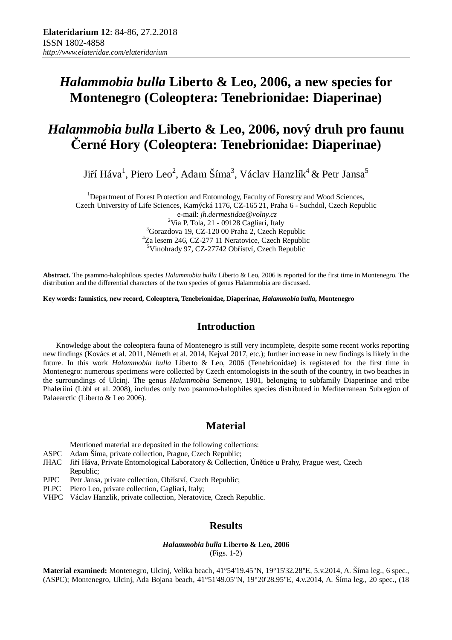## *Halammobia bulla* **Liberto & Leo, 2006, a new species for Montenegro (Coleoptera: Tenebrionidae: Diaperinae)**

# *Halammobia bulla* **Liberto & Leo, 2006, nový druh pro faunu Černé Hory (Coleoptera: Tenebrionidae: Diaperinae)**

Jiří Háva $^1$ , Piero Leo $^2$ , Adam Šíma $^3$ , Václav Hanzlík $^4$  & Petr Jansa $^5$ 

<sup>1</sup>Department of Forest Protection and Entomology, Faculty of Forestry and Wood Sciences, Czech University of Life Sciences, Kamýcká 1176, CZ-165 21, Praha 6 - Suchdol, Czech Republic e-mail: *jh.dermestidae@volny.cz* <sup>2</sup>Via P. Tola, 21 - 09128 Cagliari, Italy <sup>3</sup>Gorazdova 19, CZ-120 00 Praha 2, Czech Republic <sup>4</sup>Za lesem 246, CZ-277 11 Neratovice, Czech Republic <sup>5</sup>Vinohrady 97, CZ-27742 Obříství, Czech Republic

**Abstract.** The psammo-halophilous species *Halammobia bulla* Liberto & Leo, 2006 is reported for the first time in Montenegro. The distribution and the differential characters of the two species of genus Halammobia are discussed.

**Key words: faunistics, new record, Coleoptera, Tenebrionidae, Diaperinae,** *Halammobia bulla***, Montenegro**

## **Introduction**

Knowledge about the coleoptera fauna of Montenegro is still very incomplete, despite some recent works reporting new findings (Kovács et al. 2011, Németh et al. 2014, Kejval 2017, etc.); further increase in new findings is likely in the future. In this work *Halammobia bulla* Liberto & Leo, 2006 (Tenebrionidae) is registered for the first time in Montenegro: numerous specimens were collected by Czech entomologists in the south of the country, in two beaches in the surroundings of Ulcinj. The genus *Halammobia* Semenov, 1901, belonging to subfamily Diaperinae and tribe Phaleriini (Löbl et al. 2008), includes only two psammo-halophiles species distributed in Mediterranean Subregion of Palaearctic (Liberto & Leo 2006).

## **Material**

Mentioned material are deposited in the following collections:

- ASPC Adam Šíma, private collection, Prague, Czech Republic;
- JHAC Jiří Háva, Private Entomological Laboratory & Collection, Únětice u Prahy, Prague west, Czech Republic;
- PJPC Petr Jansa, private collection, Obříství, Czech Republic;
- PLPC Piero Leo, private collection, Cagliari, Italy;
- VHPC Václav Hanzlík, private collection, Neratovice, Czech Republic.

## **Results**

#### *Halammobia bulla* **Liberto & Leo, 2006**  (Figs. 1-2)

**Material examined:** Montenegro, Ulcinj, Velika beach, 41°54'19.45"N, 19°15'32.28"E, 5.v.2014, A. Šíma leg., 6 spec., (ASPC); Montenegro, Ulcinj, Ada Bojana beach, 41°51'49.05"N, 19°20'28.95"E, 4.v.2014, A. Šíma leg., 20 spec., (18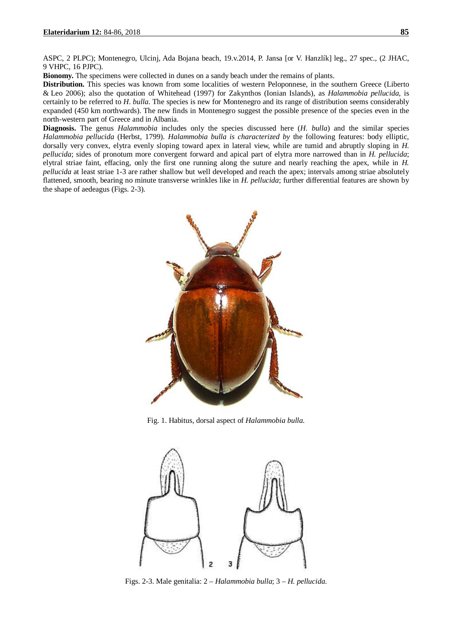ASPC, 2 PLPC); Montenegro, Ulcinj, Ada Bojana beach, 19.v.2014, P. Jansa [or V. Hanzlík] leg., 27 spec., (2 JHAC, 9 VHPC, 16 PJPC).

**Bionomy.** The specimens were collected in dunes on a sandy beach under the remains of plants.

**Distribution.** This species was known from some localities of western Peloponnese, in the southern Greece (Liberto & Leo 2006); also the quotation of Whitehead (1997) for Zakynthos (Ionian Islands), as *Halammobia pellucida*, is certainly to be referred to *H*. *bulla*. The species is new for Montenegro and its range of distribution seems considerably expanded (450 km northwards). The new finds in Montenegro suggest the possible presence of the species even in the north-western part of Greece and in Albania.

**Diagnosis.** The genus *Halammobia* includes only the species discussed here (*H. bulla*) and the similar species *Halammobia pellucida* (Herbst, 1799). *Halammobia bulla is characterized by* the following features: body elliptic, dorsally very convex, elytra evenly sloping toward apex in lateral view, while are tumid and abruptly sloping in *H. pellucida*; sides of pronotum more convergent forward and apical part of elytra more narrowed than in *H. pellucida*; elytral striae faint, effacing, only the first one running along the suture and nearly reaching the apex, while in *H. pellucida* at least striae 1-3 are rather shallow but well developed and reach the apex; intervals among striae absolutely flattened, smooth, bearing no minute transverse wrinkles like in *H. pellucida*; further differential features are shown by the shape of aedeagus (Figs. 2-3).



Fig. 1. Habitus, dorsal aspect of *Halammobia bulla*.



Figs. 2-3. Male genitalia: 2 – *Halammobia bulla*; 3 – *H. pellucida*.